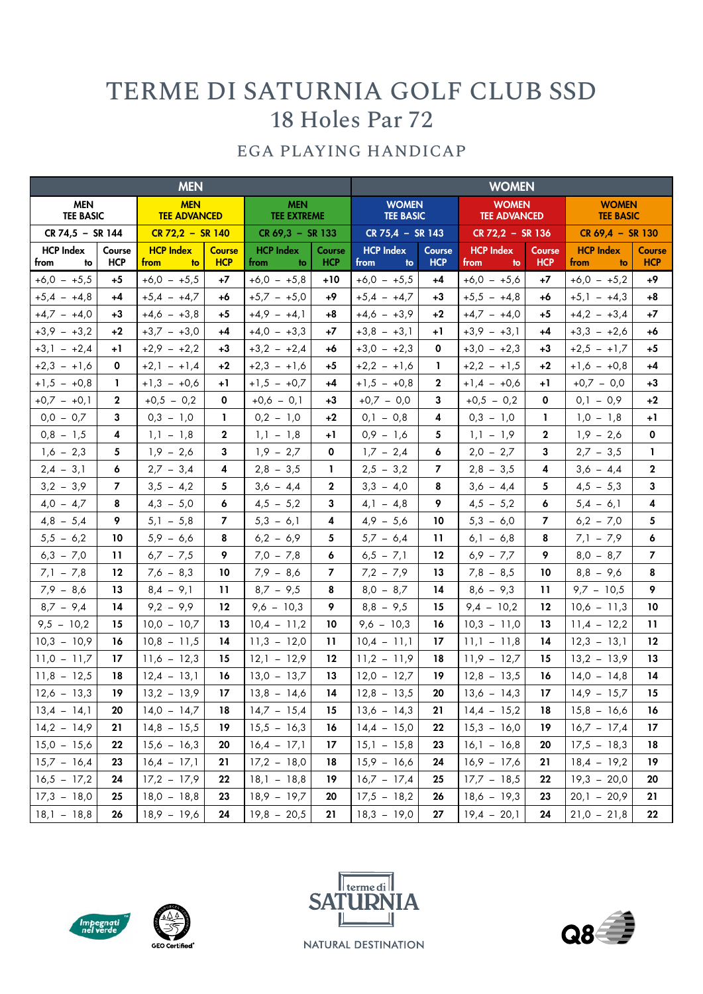## TERME DI SATURNIA GOLF CLUB SSD 18 Holes Par 72

## EGA PLAYING HANDICAP

| <b>MEN</b>                     |                      |                                   |                             |                                  |                      | <b>WOMEN</b>                     |                      |                                     |                      |                                  |                             |  |
|--------------------------------|----------------------|-----------------------------------|-----------------------------|----------------------------------|----------------------|----------------------------------|----------------------|-------------------------------------|----------------------|----------------------------------|-----------------------------|--|
| <b>MEN</b><br><b>TEE BASIC</b> |                      | <b>MEN</b><br><b>TEE ADVANCED</b> |                             | <b>MEN</b><br><b>TEE EXTREME</b> |                      | <b>WOMEN</b><br><b>TEE BASIC</b> |                      | <b>WOMEN</b><br><b>TEE ADVANCED</b> |                      | <b>WOMEN</b><br><b>TEE BASIC</b> |                             |  |
| CR 74,5 - SR 144               |                      | $CR$ 72,2 - SR 140                |                             | $CR 69,3 - SR 133$               |                      | $CR$ 75,4 - SR 143               |                      | $CR 72,2 - SR 136$                  |                      | $CR 69,4 - SR 130$               |                             |  |
| <b>HCP Index</b><br>from<br>to | Course<br><b>HCP</b> | <b>HCP Index</b><br>from<br>to    | <b>Course</b><br><b>HCP</b> | <b>HCP Index</b><br>from<br>to   | Course<br><b>HCP</b> | <b>HCP Index</b><br>from<br>to   | Course<br><b>HCP</b> | <b>HCP Index</b><br>from<br>to      | Course<br><b>HCP</b> | <b>HCP Index</b><br>from<br>to   | <b>Course</b><br><b>HCP</b> |  |
| $+6,0 - +5,5$                  | $+5$                 | $+6,0 - +5,5$                     | $+7$                        | $+6,0 - +5,8$                    | +10                  | $+6,0 - +5,5$                    | $+4$                 | $+6,0 - +5,6$                       | +7                   | $+6,0 - +5,2$                    | +9                          |  |
| $+5,4 - +4,8$                  | $+4$                 | $+5,4 - +4,7$                     | +6                          | $+5,7 - +5,0$                    | +9                   | $+5,4 - +4,7$                    | $+3$                 | $+5,5 - +4,8$                       | +6                   | $+5,1 - +4,3$                    | $+8$                        |  |
| $+4,7 - +4,0$                  | $+3$                 | $+4,6 - +3,8$                     | +5                          | $+4,9 - +4,1$                    | +8                   | $+4,6 - +3,9$                    | +2                   | $+4,7 - +4,0$                       | +5                   | $+4,2 - 3,4$                     | $+7$                        |  |
| $+3,9 - +3,2$                  | $+2$                 | $+3,7 - +3,0$                     | +4                          | $+4,0 - +3,3$                    | +7                   | $+3,8 - +3,1$                    | +1                   | $+3,9 - +3,1$                       | +4                   | $+3,3 - +2,6$                    | +6                          |  |
| $+3,1 - +2,4$                  | +1                   | $+2,9 - +2,2$                     | +3                          | $+3,2 - +2,4$                    | +6                   | $+3,0 - +2,3$                    | 0                    | $+3,0 - +2,3$                       | +3                   | $+2,5 - +1,7$                    | +5                          |  |
| $+2,3 -1,6$                    | 0                    | $+2, 1 - +1, 4$                   | $+2$                        | $+2,3 - +1,6$                    | +5                   | $+2,2 -1,6$                      | 1.                   | $+2,2 -1,5$                         | $+2$                 | $+1,6 - +0,8$                    | $+4$                        |  |
| $+1,5 - +0,8$                  | L                    | $+1,3 - +0,6$                     | +1                          | $+1,5 - +0,7$                    | +4                   | $+1,5 - +0,8$                    | $\mathbf{2}$         | $+1,4 - +0,6$                       | +1                   | $+0,7 - 0,0$                     | +3                          |  |
| $+0,7 - +0,1$                  | $\mathbf{2}$         | $+0,5 - 0,2$                      | 0                           | $+0,6 - 0,1$                     | +3                   | $+0,7 - 0,0$                     | 3                    | $+0,5 - 0,2$                        | 0                    | $0,1 - 0,9$                      | $+2$                        |  |
| $0,0 - 0,7$                    | 3                    | $0,3 - 1,0$                       | $\mathbf{I}$                | $0,2 - 1,0$                      | $+2$                 | $0,1 - 0,8$                      | 4                    | $0,3 - 1,0$                         | L                    | $1,0 - 1,8$                      | +1                          |  |
| $0.8 - 1.5$                    | 4                    | $1,1 - 1,8$                       | $\mathbf 2$                 | $1,1 - 1,8$                      | $+1$                 | $0,9 - 1,6$                      | 5                    | $1,1 - 1,9$                         | $\mathbf{2}$         | $1,9 - 2,6$                      | 0                           |  |
| $1,6 - 2,3$                    | 5                    | $1,9 - 2,6$                       | 3                           | $1,9 - 2,7$                      | 0                    | $1,7 - 2,4$                      | 6                    | $2,0 - 2,7$                         | 3                    | $2,7 - 3,5$                      | 1.                          |  |
| $2,4 - 3,1$                    | 6                    | $2,7 - 3,4$                       | 4                           | $2,8 - 3,5$                      | L                    | $2,5 - 3,2$                      | 7                    | $2,8 - 3,5$                         | 4                    | $3,6 - 4,4$                      | $\mathbf{2}$                |  |
| $3,2 - 3,9$                    | $\overline{7}$       | $3,5 - 4,2$                       | 5                           | $3,6 - 4,4$                      | $\mathbf{2}$         | $3,3 - 4,0$                      | 8                    | $3,6 - 4,4$                         | 5                    | $4,5 - 5,3$                      | 3                           |  |
| $4,0 - 4,7$                    | 8                    | $4,3 - 5,0$                       | 6                           | $4,5 - 5,2$                      | 3                    | $4,1 - 4,8$                      | 9                    | $4,5 - 5,2$                         | 6                    | $5,4 - 6,1$                      | 4                           |  |
| $4,8 - 5,4$                    | 9                    | $5,1 - 5,8$                       | $\overline{\mathbf{z}}$     | $5,3 - 6,1$                      | 4                    | $4,9 - 5,6$                      | 10                   | $5,3 - 6,0$                         | $\overline{7}$       | $6,2 - 7,0$                      | 5                           |  |
| $5,5 - 6,2$                    | 10                   | $5,9 - 6,6$                       | 8                           | $6,2 - 6,9$                      | 5                    | $5,7 - 6,4$                      | 11                   | $6,1 - 6,8$                         | 8                    | $7,1 - 7,9$                      | 6                           |  |
| $6,3 - 7,0$                    | 11                   | $6,7 - 7,5$                       | 9                           | $7,0 - 7,8$                      | 6                    | $6,5 - 7,1$                      | 12                   | $6,9 - 7,7$                         | 9                    | $8,0 - 8,7$                      | $\overline{\phantom{a}}$    |  |
| $7,1 - 7,8$                    | 12                   | $7,6 - 8,3$                       | 10                          | $7,9 - 8,6$                      | 7                    | $7,2 - 7,9$                      | 13                   | $7,8 - 8,5$                         | 10                   | $8,8 - 9,6$                      | 8                           |  |
| $7,9 - 8,6$                    | 13                   | $8,4 - 9,1$                       | $\mathbf{11}$               | $8,7 - 9,5$                      | 8                    | $8,0 - 8,7$                      | 14                   | $8,6 - 9,3$                         | 11                   | $9,7 - 10,5$                     | 9                           |  |
| $8,7 - 9,4$                    | 14                   | $9,2 - 9,9$                       | 12                          | $9,6 - 10,3$                     | 9                    | $8,8 - 9,5$                      | 15                   | $9,4 - 10,2$                        | 12                   | $10,6 - 11,3$                    | 10                          |  |
| $9,5 - 10,2$                   | 15                   | $10,0 - 10,7$                     | 13                          | $10,4 - 11,2$                    | 10                   | $9,6 - 10,3$                     | 16                   | $10,3 - 11,0$                       | 13                   | $11,4 - 12,2$                    | 11                          |  |
| $10,3 - 10,9$                  | 16                   | $10,8 - 11,5$                     | 14                          | $11,3 - 12,0$                    | 11                   | $10,4 - 11,1$                    | 17                   | $11,1 - 11,8$                       | 14                   | $12,3 - 13,1$                    | 12                          |  |
| $11,0 - 11,7$                  | 17                   | $11,6 - 12,3$                     | 15                          | $12,1 - 12,9$                    | $12 \,$              | $11,2 - 11,9$                    | 18                   | $11,9 - 12,7$                       | 15                   | $13,2 - 13,9$                    | 13                          |  |
| $11,8 - 12,5$                  | 18                   | $12,4 - 13,1$                     | 16                          | $13,0 - 13,7$                    | 13                   | $12,0 - 12,7$                    | 19                   | $12,8 - 13,5$                       | 16                   | $14,0 - 14,8$                    | 14                          |  |
| $12,6 - 13,3$                  | 19                   | $13,2 - 13,9$                     | 17                          | $13,8 - 14,6$                    | 14                   | $12,8 - 13,5$                    | 20                   | $13,6 - 14,3$                       | 17                   | $14,9 - 15,7$                    | 15                          |  |
| $13,4 - 14,1$                  | 20                   | $14,0 - 14,7$                     | 18                          | $14,7 - 15,4$                    | 15                   | $13,6 - 14,3$                    | 21                   | $14,4 - 15,2$                       | 18                   | $15,8 - 16,6$                    | 16                          |  |
| $14,2 - 14,9$                  | 21                   | $14,8 - 15,5$                     | 19                          | $15,5 - 16,3$                    | 16                   | $14,4 - 15,0$                    | $22\phantom{.0}$     | $15,3 - 16,0$                       | 19                   | $16,7 - 17,4$                    | 17                          |  |
| $15,0 - 15,6$                  | 22                   | $15,6 - 16,3$                     | 20                          | $16,4 - 17,1$                    | 17                   | $15,1 - 15,8$                    | 23                   | $16,1 - 16,8$                       | 20                   | $17,5 - 18,3$                    | 18                          |  |
| $15,7 - 16,4$                  | 23                   | $16,4 - 17,1$                     | 21                          | $17,2 - 18,0$                    | 18                   | $15,9 - 16,6$                    | 24                   | $16,9 - 17,6$                       | 21                   | $18,4 - 19,2$                    | 19                          |  |
| $16,5 - 17,2$                  | 24                   | $17,2 - 17,9$                     | 22                          | $18,1 - 18,8$                    | 19                   | $16,7 - 17,4$                    | 25                   | $17,7 - 18,5$                       | 22                   | $19,3 - 20,0$                    | 20                          |  |
| $17,3 - 18,0$                  | 25                   | $18,0 - 18,8$                     | 23                          | $18,9 - 19,7$                    | 20                   | $17,5 - 18,2$                    | 26                   | $18,6 - 19,3$                       | 23                   | $20,1 - 20,9$                    | 21                          |  |
| $18,1 - 18,8$                  | 26                   | $18,9 - 19,6$                     | ${\bf 24}$                  | $19,8 - 20,5$                    | 21                   | $18,3 - 19,0$                    | 27                   | $19,4 - 20,1$                       | 24                   | $21,0 - 21,8$                    | 22                          |  |









NATURAL DESTINATION